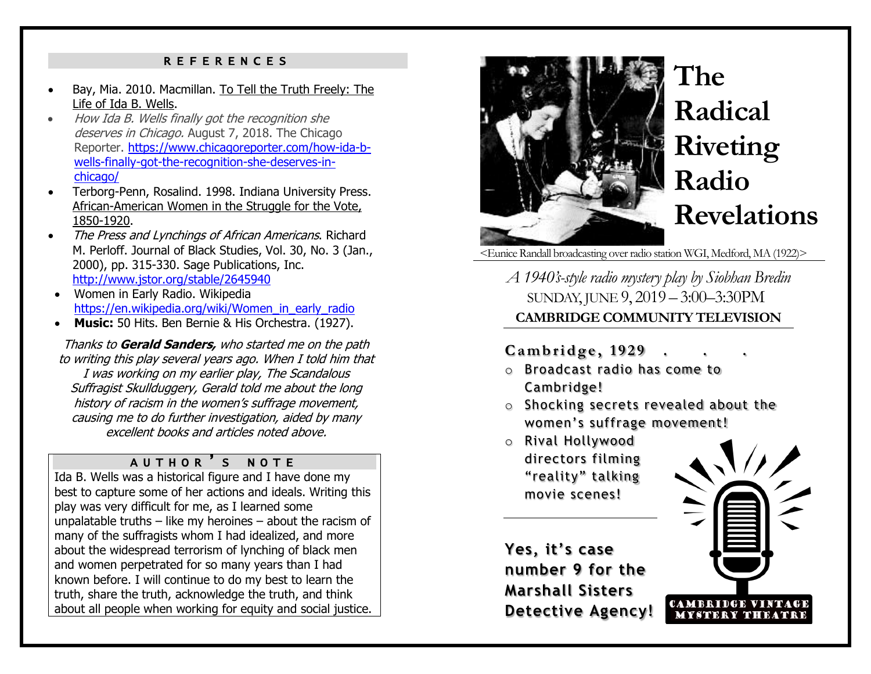#### REFERENCES

- Bay, Mia. 2010. Macmillan. To Tell the Truth Freely: The Life of Ida B. Wells.
- How Ida B. Wells finally got the recognition she deserves in Chicago. August 7, 2018. The Chicago Reporter. [https://www.chicagoreporter.com/how-ida-b](https://www.chicagoreporter.com/how-ida-b-wells-finally-got-the-recognition-she-deserves-in-chicago/)[wells-finally-got-the-recognition-she-deserves-in](https://www.chicagoreporter.com/how-ida-b-wells-finally-got-the-recognition-she-deserves-in-chicago/)[chicago/](https://www.chicagoreporter.com/how-ida-b-wells-finally-got-the-recognition-she-deserves-in-chicago/)
- Terborg-Penn, Rosalind. 1998. Indiana University Press. African-American Women in the Struggle for the Vote, 1850-1920.
- The Press and Lynchings of African Americans. Richard M. Perloff. Journal of Black Studies, Vol. 30, No. 3 (Jan., 2000), pp. 315-330. Sage Publications, Inc. <http://www.jstor.org/stable/2645940>
- Women in Early Radio. Wikipedia [https://en.wikipedia.org/wiki/Women\\_in\\_early\\_radio](https://en.wikipedia.org/wiki/Women_in_early_radio)
- **Music:** 50 Hits. Ben Bernie & His Orchestra. (1927).

Thanks to **Gerald Sanders,** who started me on the path to writing this play several years ago. When I told him that I was working on my earlier play, The Scandalous Suffragist Skullduggery, Gerald told me about the long history of racism in the women's suffrage movement, causing me to do further investigation, aided by many excellent books and articles noted above.

#### AUTHOR ' S NOTE

Ida B. Wells was a historical figure and I have done my best to capture some of her actions and ideals. Writing this play was very difficult for me, as I learned some unpalatable truths  $-$  like my heroines  $-$  about the racism of many of the suffragists whom I had idealized, and more about the widespread terrorism of lynching of black men and women perpetrated for so many years than I had known before. I will continue to do my best to learn the truth, share the truth, acknowledge the truth, and think about all people when working for equity and social justice.



# **The Radical Riveting Radio Revelations**

<Eunice Randall broadcasting over radio station WGI, Medford, MA (1922)>

*A 1940's-style radio mystery play by Siobhan Bredin* SUNDAY, JUNE 9, 2019 – 3:00–3:30PM **CAMBRIDGE COMMUNITY TELEVISION**

#### **C a m b r i d g e , 1 9 2 9 . . .**

- o Broadcast radio has come to Cambridge!
- o Shocking secrets revealed about the women's suffrage movement!
- o Rival Hollywood directors filming "reality" talking movie scenes!

**Yes, it's case number 9 for the Marshall Sisters Detective Agency!**